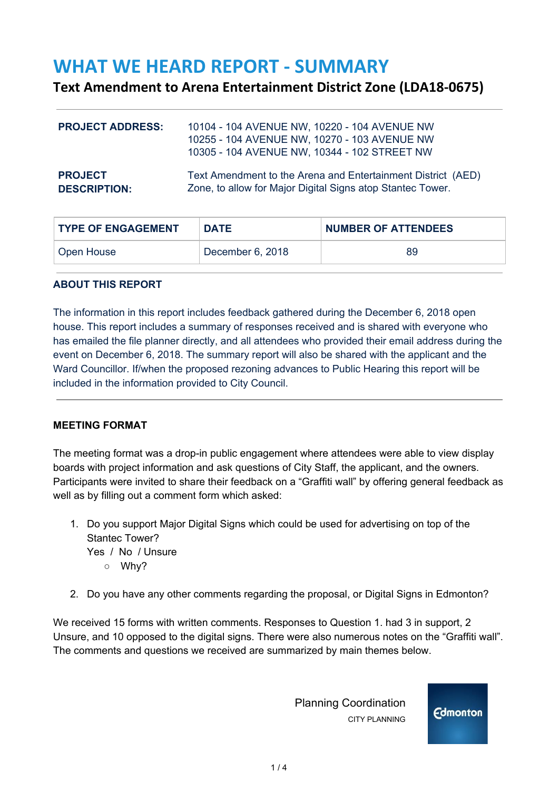# **WHAT WE HEARD REPORT - SUMMARY**

## **Text Amendment to Arena Entertainment District Zone (LDA18-0675)**

| <b>PROJECT ADDRESS:</b> | 10104 - 104 AVENUE NW, 10220 - 104 AVENUE NW<br>10255 - 104 AVENUE NW, 10270 - 103 AVENUE NW<br>10305 - 104 AVENUE NW, 10344 - 102 STREET NW |
|-------------------------|----------------------------------------------------------------------------------------------------------------------------------------------|
| <b>PROJECT</b>          | Text Amendment to the Arena and Entertainment District (AED)                                                                                 |
| <b>DESCRIPTION:</b>     | Zone, to allow for Major Digital Signs atop Stantec Tower.                                                                                   |

| <b>TYPE OF ENGAGEMENT</b> | <b>DATE</b>      | <b>NUMBER OF ATTENDEES</b> |
|---------------------------|------------------|----------------------------|
| Open House                | December 6, 2018 | 89                         |

#### **ABOUT THIS REPORT**

The information in this report includes feedback gathered during the December 6, 2018 open house. This report includes a summary of responses received and is shared with everyone who has emailed the file planner directly, and all attendees who provided their email address during the event on December 6, 2018. The summary report will also be shared with the applicant and the Ward Councillor. If/when the proposed rezoning advances to Public Hearing this report will be included in the information provided to City Council.

### **MEETING FORMAT**

The meeting format was a drop-in public engagement where attendees were able to view display boards with project information and ask questions of City Staff, the applicant, and the owners. Participants were invited to share their feedback on a "Graffiti wall" by offering general feedback as well as by filling out a comment form which asked:

- 1. Do you support Major Digital Signs which could be used for advertising on top of the Stantec Tower? Yes / No / Unsure ○ Why?
- 2. Do you have any other comments regarding the proposal, or Digital Signs in Edmonton?

We received 15 forms with written comments. Responses to Question 1. had 3 in support, 2 Unsure, and 10 opposed to the digital signs. There were also numerous notes on the "Graffiti wall". The comments and questions we received are summarized by main themes below.

> Planning Coordination CITY PLANNING

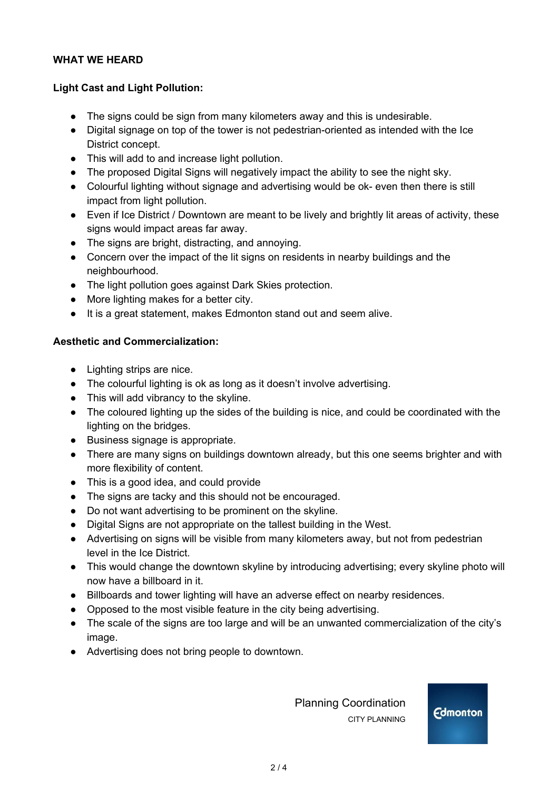#### **WHAT WE HEARD**

#### **Light Cast and Light Pollution:**

- The signs could be sign from many kilometers away and this is undesirable.
- Digital signage on top of the tower is not pedestrian-oriented as intended with the Ice District concept.
- This will add to and increase light pollution.
- The proposed Digital Signs will negatively impact the ability to see the night sky.
- Colourful lighting without signage and advertising would be ok- even then there is still impact from light pollution.
- Even if Ice District / Downtown are meant to be lively and brightly lit areas of activity, these signs would impact areas far away.
- The signs are bright, distracting, and annoying.
- Concern over the impact of the lit signs on residents in nearby buildings and the neighbourhood.
- The light pollution goes against Dark Skies protection.
- More lighting makes for a better city.
- It is a great statement, makes Edmonton stand out and seem alive.

#### **Aesthetic and Commercialization:**

- Lighting strips are nice.
- The colourful lighting is ok as long as it doesn't involve advertising.
- This will add vibrancy to the skyline.
- The coloured lighting up the sides of the building is nice, and could be coordinated with the lighting on the bridges.
- Business signage is appropriate.
- There are many signs on buildings downtown already, but this one seems brighter and with more flexibility of content.
- This is a good idea, and could provide
- The signs are tacky and this should not be encouraged.
- Do not want advertising to be prominent on the skyline.
- Digital Signs are not appropriate on the tallest building in the West.
- Advertising on signs will be visible from many kilometers away, but not from pedestrian level in the Ice District.
- This would change the downtown skyline by introducing advertising; every skyline photo will now have a billboard in it.
- Billboards and tower lighting will have an adverse effect on nearby residences.
- Opposed to the most visible feature in the city being advertising.
- The scale of the signs are too large and will be an unwanted commercialization of the city's image.
- Advertising does not bring people to downtown.

 Planning Coordination CITY PLANNING

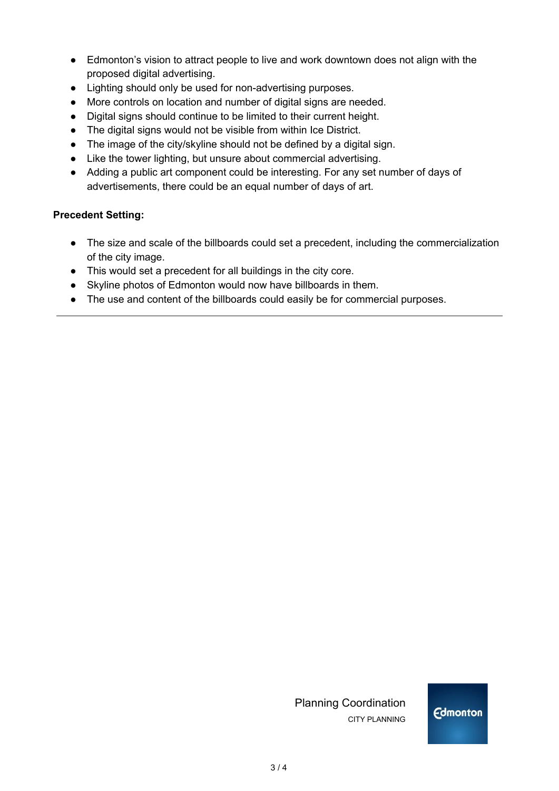- Edmonton's vision to attract people to live and work downtown does not align with the proposed digital advertising.
- Lighting should only be used for non-advertising purposes.
- More controls on location and number of digital signs are needed.
- Digital signs should continue to be limited to their current height.
- The digital signs would not be visible from within Ice District.
- The image of the city/skyline should not be defined by a digital sign.
- Like the tower lighting, but unsure about commercial advertising.
- Adding a public art component could be interesting. For any set number of days of advertisements, there could be an equal number of days of art.

### **Precedent Setting:**

- The size and scale of the billboards could set a precedent, including the commercialization of the city image.
- This would set a precedent for all buildings in the city core.
- Skyline photos of Edmonton would now have billboards in them.
- The use and content of the billboards could easily be for commercial purposes.